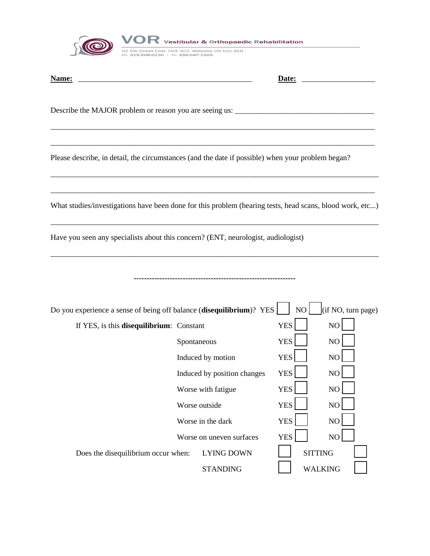

| Name:                                                                                                    |                          | Date:                       |                |                 |  |  |
|----------------------------------------------------------------------------------------------------------|--------------------------|-----------------------------|----------------|-----------------|--|--|
|                                                                                                          |                          |                             |                |                 |  |  |
| Please describe, in detail, the circumstances (and the date if possible) when your problem began?        |                          |                             |                |                 |  |  |
| What studies/investigations have been done for this problem (hearing tests, head scans, blood work, etc) |                          |                             |                |                 |  |  |
| Have you seen any specialists about this concern? (ENT, neurologist, audiologist)                        |                          |                             |                |                 |  |  |
|                                                                                                          |                          |                             |                |                 |  |  |
| Do you experience a sense of being off balance (disequilibrium)? YES<br>(if NO, turn page)<br>NO         |                          |                             |                |                 |  |  |
| If YES, is this disequilibrium: Constant                                                                 |                          |                             | <b>YES</b>     | NO              |  |  |
|                                                                                                          | Spontaneous              |                             | <b>YES</b>     | NO              |  |  |
|                                                                                                          |                          | Induced by motion           | <b>YES</b>     | NO              |  |  |
|                                                                                                          |                          | Induced by position changes | <b>YES</b>     | NO              |  |  |
|                                                                                                          | Worse with fatigue       |                             | YES            | NO <sub>1</sub> |  |  |
|                                                                                                          | Worse outside            |                             | <b>YES</b>     | NO              |  |  |
|                                                                                                          | Worse in the dark        |                             | <b>YES</b>     | NO              |  |  |
|                                                                                                          | Worse on uneven surfaces |                             | <b>YES</b>     | NO              |  |  |
| Does the disequilibrium occur when:                                                                      | <b>LYING DOWN</b>        |                             | <b>SITTING</b> |                 |  |  |
|                                                                                                          |                          | <b>STANDING</b>             |                | <b>WALKING</b>  |  |  |